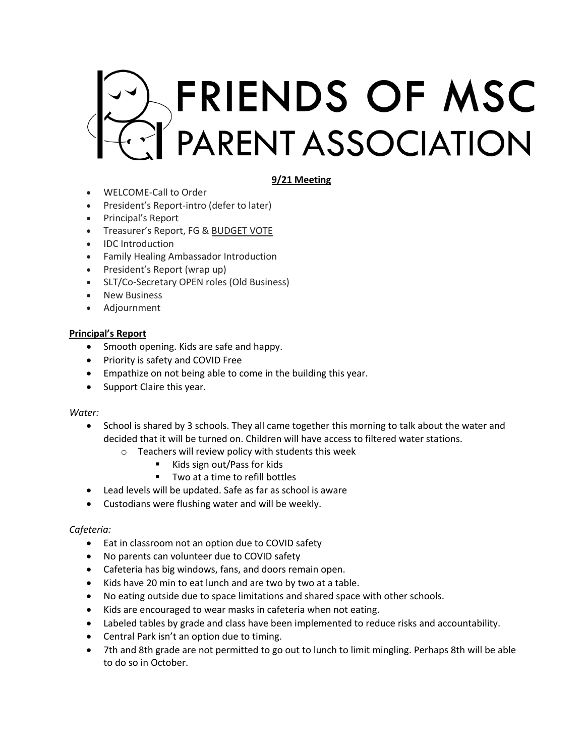

### **9/21 Meeting**

- WELCOME-Call to Order
- President's Report-intro (defer to later)
- Principal's Report
- Treasurer's Report, FG & BUDGET VOTE
- IDC Introduction
- Family Healing Ambassador Introduction
- President's Report (wrap up)
- SLT/Co-Secretary OPEN roles (Old Business)
- New Business
- Adjournment

#### **Principal's Report**

- Smooth opening. Kids are safe and happy.
- Priority is safety and COVID Free
- Empathize on not being able to come in the building this year.
- Support Claire this year.

#### *Water:*

- School is shared by 3 schools. They all came together this morning to talk about the water and decided that it will be turned on. Children will have access to filtered water stations.
	- o Teachers will review policy with students this week
		- Kids sign out/Pass for kids
		- Two at a time to refill bottles
- Lead levels will be updated. Safe as far as school is aware
- Custodians were flushing water and will be weekly.

#### *Cafeteria:*

- Eat in classroom not an option due to COVID safety
- No parents can volunteer due to COVID safety
- Cafeteria has big windows, fans, and doors remain open.
- Kids have 20 min to eat lunch and are two by two at a table.
- No eating outside due to space limitations and shared space with other schools.
- Kids are encouraged to wear masks in cafeteria when not eating.
- Labeled tables by grade and class have been implemented to reduce risks and accountability.
- Central Park isn't an option due to timing.
- 7th and 8th grade are not permitted to go out to lunch to limit mingling. Perhaps 8th will be able to do so in October.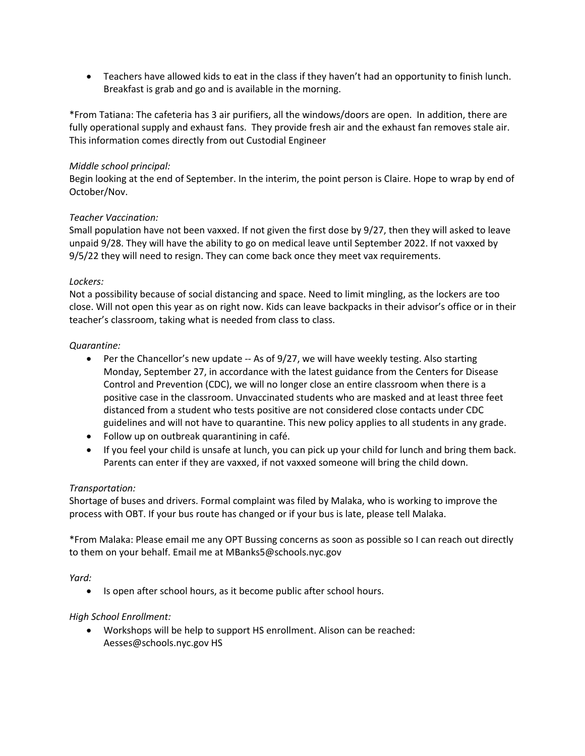• Teachers have allowed kids to eat in the class if they haven't had an opportunity to finish lunch. Breakfast is grab and go and is available in the morning.

\*From Tatiana: The cafeteria has 3 air purifiers, all the windows/doors are open. In addition, there are fully operational supply and exhaust fans. They provide fresh air and the exhaust fan removes stale air. This information comes directly from out Custodial Engineer

### *Middle school principal:*

Begin looking at the end of September. In the interim, the point person is Claire. Hope to wrap by end of October/Nov.

### *Teacher Vaccination:*

Small population have not been vaxxed. If not given the first dose by 9/27, then they will asked to leave unpaid 9/28. They will have the ability to go on medical leave until September 2022. If not vaxxed by 9/5/22 they will need to resign. They can come back once they meet vax requirements.

### *Lockers:*

Not a possibility because of social distancing and space. Need to limit mingling, as the lockers are too close. Will not open this year as on right now. Kids can leave backpacks in their advisor's office or in their teacher's classroom, taking what is needed from class to class.

### *Quarantine:*

- Per the Chancellor's new update -- As of 9/27, we will have weekly testing. Also starting Monday, September 27, in accordance with the latest guidance from the Centers for Disease Control and Prevention (CDC), we will no longer close an entire classroom when there is a positive case in the classroom. Unvaccinated students who are masked and at least three feet distanced from a student who tests positive are not considered close contacts under CDC guidelines and will not have to quarantine. This new policy applies to all students in any grade.
- Follow up on outbreak quarantining in café.
- If you feel your child is unsafe at lunch, you can pick up your child for lunch and bring them back. Parents can enter if they are vaxxed, if not vaxxed someone will bring the child down.

#### *Transportation:*

Shortage of buses and drivers. Formal complaint was filed by Malaka, who is working to improve the process with OBT. If your bus route has changed or if your bus is late, please tell Malaka.

\*From Malaka: Please email me any OPT Bussing concerns as soon as possible so I can reach out directly to them on your behalf. Email me at MBanks5@schools.nyc.gov

*Yard:*

• Is open after school hours, as it become public after school hours.

## *High School Enrollment:*

• Workshops will be help to support HS enrollment. Alison can be reached: Aesses@schools.nyc.gov HS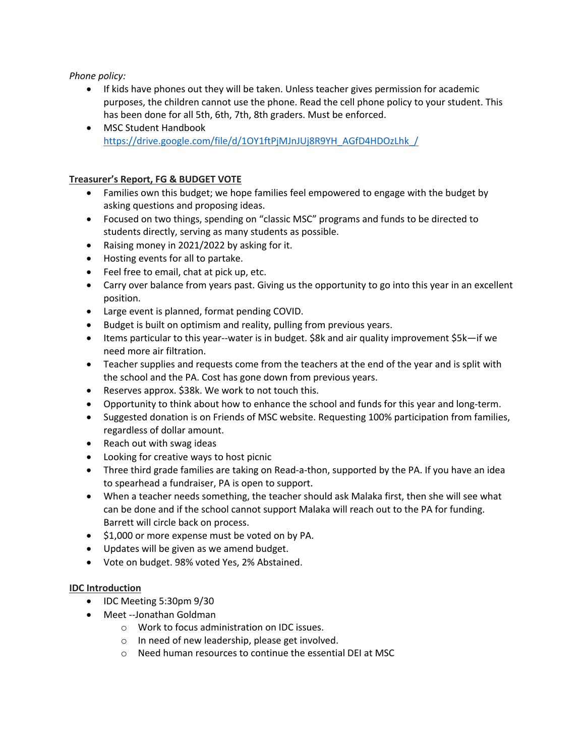### *Phone policy:*

- If kids have phones out they will be taken. Unless teacher gives permission for academic purposes, the children cannot use the phone. Read the cell phone policy to your student. This has been done for all 5th, 6th, 7th, 8th graders. Must be enforced.
- MSC Student Handbook https://drive.google.com/file/d/1OY1ftPjMJnJUj8R9YH\_AGfD4HDOzLhk\_/

### **Treasurer's Report, FG & BUDGET VOTE**

- Families own this budget; we hope families feel empowered to engage with the budget by asking questions and proposing ideas.
- Focused on two things, spending on "classic MSC" programs and funds to be directed to students directly, serving as many students as possible.
- Raising money in 2021/2022 by asking for it.
- Hosting events for all to partake.
- Feel free to email, chat at pick up, etc.
- Carry over balance from years past. Giving us the opportunity to go into this year in an excellent position.
- Large event is planned, format pending COVID.
- Budget is built on optimism and reality, pulling from previous years.
- Items particular to this year--water is in budget. \$8k and air quality improvement \$5k—if we need more air filtration.
- Teacher supplies and requests come from the teachers at the end of the year and is split with the school and the PA. Cost has gone down from previous years.
- Reserves approx. \$38k. We work to not touch this.
- Opportunity to think about how to enhance the school and funds for this year and long-term.
- Suggested donation is on Friends of MSC website. Requesting 100% participation from families, regardless of dollar amount.
- Reach out with swag ideas
- Looking for creative ways to host picnic
- Three third grade families are taking on Read-a-thon, supported by the PA. If you have an idea to spearhead a fundraiser, PA is open to support.
- When a teacher needs something, the teacher should ask Malaka first, then she will see what can be done and if the school cannot support Malaka will reach out to the PA for funding. Barrett will circle back on process.
- \$1,000 or more expense must be voted on by PA.
- Updates will be given as we amend budget.
- Vote on budget. 98% voted Yes, 2% Abstained.

#### **IDC Introduction**

- IDC Meeting 5:30pm 9/30
- Meet --Jonathan Goldman
	- o Work to focus administration on IDC issues.
	- o In need of new leadership, please get involved.
	- $\circ$  Need human resources to continue the essential DEI at MSC.